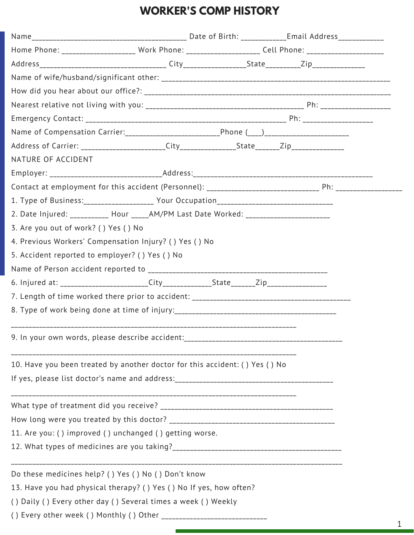# **WORKER'S COMP HISTORY**

| Home Phone: ____________________ Work Phone: ____________________ Cell Phone: _____________________  |  |  |
|------------------------------------------------------------------------------------------------------|--|--|
|                                                                                                      |  |  |
|                                                                                                      |  |  |
|                                                                                                      |  |  |
|                                                                                                      |  |  |
|                                                                                                      |  |  |
| Name of Compensation Carrier: __________________________________Phone (___)_________________________ |  |  |
|                                                                                                      |  |  |
| NATURE OF ACCIDENT                                                                                   |  |  |
|                                                                                                      |  |  |
|                                                                                                      |  |  |
|                                                                                                      |  |  |
| 2. Date Injured: ___________ Hour _____AM/PM Last Date Worked: __________________                    |  |  |
| 3. Are you out of work? () Yes () No                                                                 |  |  |
| 4. Previous Workers' Compensation Injury? () Yes () No                                               |  |  |
| 5. Accident reported to employer? () Yes () No                                                       |  |  |
|                                                                                                      |  |  |
|                                                                                                      |  |  |
|                                                                                                      |  |  |
|                                                                                                      |  |  |
| 9. In your own words, please describe accident:_________________________________                     |  |  |
| 10. Have you been treated by another doctor for this accident: () Yes () No                          |  |  |
|                                                                                                      |  |  |
|                                                                                                      |  |  |
|                                                                                                      |  |  |
| 11. Are you: ( ) improved ( ) unchanged ( ) getting worse.                                           |  |  |
|                                                                                                      |  |  |
| Do these medicines help? () Yes () No () Don't know                                                  |  |  |
| 13. Have you had physical therapy? () Yes () No If yes, how often?                                   |  |  |
| () Daily () Every other day () Several times a week () Weekly                                        |  |  |
| () Every other week () Monthly () Other                                                              |  |  |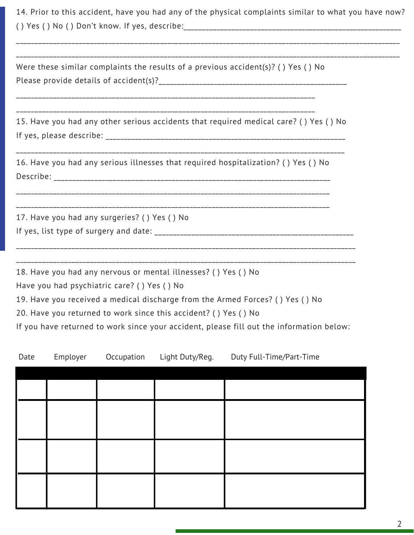|      |          |                                              |                                                                                                                                   | 14. Prior to this accident, have you had any of the physical complaints similar to what you have now?                                                                     |  |
|------|----------|----------------------------------------------|-----------------------------------------------------------------------------------------------------------------------------------|---------------------------------------------------------------------------------------------------------------------------------------------------------------------------|--|
|      |          |                                              |                                                                                                                                   | Were these similar complaints the results of a previous accident(s)? () Yes () No                                                                                         |  |
|      |          |                                              |                                                                                                                                   | 15. Have you had any other serious accidents that required medical care? () Yes () No                                                                                     |  |
|      |          |                                              |                                                                                                                                   | 16. Have you had any serious illnesses that required hospitalization? () Yes () No                                                                                        |  |
|      |          | 17. Have you had any surgeries? () Yes () No |                                                                                                                                   |                                                                                                                                                                           |  |
|      |          | Have you had psychiatric care? () Yes () No  | 18. Have you had any nervous or mental illnesses? () Yes () No<br>20. Have you returned to work since this accident? () Yes () No | 19. Have you received a medical discharge from the Armed Forces? () Yes () No<br>If you have returned to work since your accident, please fill out the information below: |  |
| Date | Employer | Occupation                                   | Light Duty/Reg.                                                                                                                   | Duty Full-Time/Part-Time                                                                                                                                                  |  |
|      |          |                                              |                                                                                                                                   |                                                                                                                                                                           |  |
|      |          |                                              |                                                                                                                                   |                                                                                                                                                                           |  |
|      |          |                                              |                                                                                                                                   |                                                                                                                                                                           |  |

2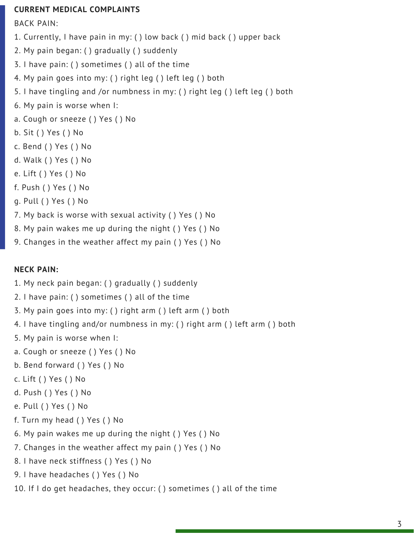#### **CURRENT MEDICAL COMPLAINTS**

BACK PAIN:

- 1. Currently, I have pain in my: ( ) low back ( ) mid back ( ) upper back
- 2. My pain began: ( ) gradually ( ) suddenly
- 3. I have pain: ( ) sometimes ( ) all of the time
- 4. My pain goes into my: ( ) right leg ( ) left leg ( ) both
- 5. I have tingling and /or numbness in my: ( ) right leg ( ) left leg ( ) both
- 6. My pain is worse when I:
- a. Cough or sneeze ( ) Yes ( ) No
- b. Sit ( ) Yes ( ) No
- c. Bend ( ) Yes ( ) No
- d. Walk ( ) Yes ( ) No
- e. Lift ( ) Yes ( ) No
- f. Push ( ) Yes ( ) No
- g. Pull ( ) Yes ( ) No
- 7. My back is worse with sexual activity ( ) Yes ( ) No
- 8. My pain wakes me up during the night ( ) Yes ( ) No
- 9. Changes in the weather affect my pain ( ) Yes ( ) No

### **NECK PAIN:**

- 1. My neck pain began: ( ) gradually ( ) suddenly
- 2. I have pain: ( ) sometimes ( ) all of the time
- 3. My pain goes into my: ( ) right arm ( ) left arm ( ) both
- 4. I have tingling and/or numbness in my: ( ) right arm ( ) left arm ( ) both
- 5. My pain is worse when I:
- a. Cough or sneeze ( ) Yes ( ) No
- b. Bend forward ( ) Yes ( ) No
- c. Lift ( ) Yes ( ) No
- d. Push ( ) Yes ( ) No
- e. Pull ( ) Yes ( ) No
- f. Turn my head ( ) Yes ( ) No
- 6. My pain wakes me up during the night ( ) Yes ( ) No
- 7. Changes in the weather affect my pain ( ) Yes ( ) No
- 8. I have neck stiffness ( ) Yes ( ) No
- 9. I have headaches ( ) Yes ( ) No
- 10. If I do get headaches, they occur: ( ) sometimes ( ) all of the time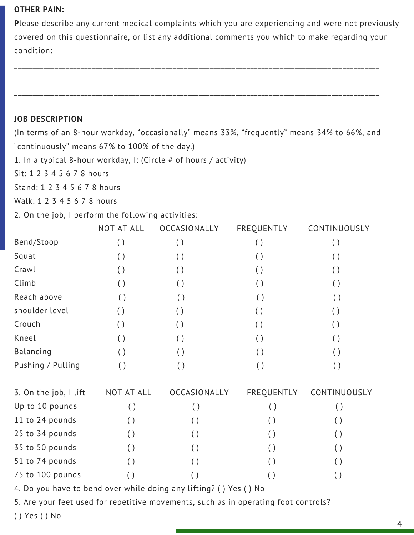#### **OTHER PAIN:**

**P**lease describe any current medical complaints which you are experiencing and were not previously covered on this questionnaire, or list any additional comments you which to make regarding your condition:

## **JOB DESCRIPTION**

(In terms of an 8-hour workday, "occasionally" means 33%, "frequently" means 34% to 66%, and "continuously" means 67% to 100% of the day.)

1. In a typical 8-hour workday, I: (Circle # of hours / activity)

Sit: 1 2 3 4 5 6 7 8 hours

Stand: 1 2 3 4 5 6 7 8 hours

Walk: 1 2 3 4 5 6 7 8 hours

2. On the job, I perform the following activities:

|                       | NOT AT ALL | OCCASIONALLY       | FREQUENTLY         | CONTINUOUSLY       |
|-----------------------|------------|--------------------|--------------------|--------------------|
| Bend/Stoop            | ( )        | ( )                | $\left( \ \right)$ | ( )                |
| Squat                 | ( )        | ( )                | $\left( \ \right)$ | $\left( \ \right)$ |
| Crawl                 | ( )        | ( )                | ( )                | $\left( \ \right)$ |
| Climb                 | ( )        | ( )                | ( )                | ( )                |
| Reach above           | ( )        | ( )                | $\left( \ \right)$ | $\left( \ \right)$ |
| shoulder level        | ( )        | ( )                | $\left( \ \right)$ | $\left( \ \right)$ |
| Crouch                | ( )        | ( )                | ( )                | ( )                |
| Kneel                 | ( )        | ( )                | $\left( \ \right)$ | ( )                |
| Balancing             | ( )        | ( )                | $\left( \ \right)$ | $\left( \ \right)$ |
| Pushing / Pulling     | ( )        | ( )                | ( )                | ( )                |
| 3. On the job, I lift | NOT AT ALL | OCCASIONALLY       | FREQUENTLY         | CONTINUOUSLY       |
| Up to 10 pounds       | ( )        | ( )                | ( )                | ( )                |
| 11 to 24 pounds       | ( )        | $\left( \ \right)$ | ( )                | ( )                |
| 25 to 34 pounds       | ( )        | $\left( \ \right)$ | ( )                | ( )                |
| 35 to 50 pounds       | ( )        | ( )                | ( )                | $\left( \ \right)$ |
| 51 to 74 pounds       |            | ( )                | ( )                | $\left( \ \right)$ |
| 75 to 100 pounds      | ( )        |                    |                    | $(\ )$             |

4. Do you have to bend over while doing any lifting? ( ) Yes ( ) No

5. Are your feet used for repetitive movements, such as in operating foot controls?

( ) Yes ( ) No